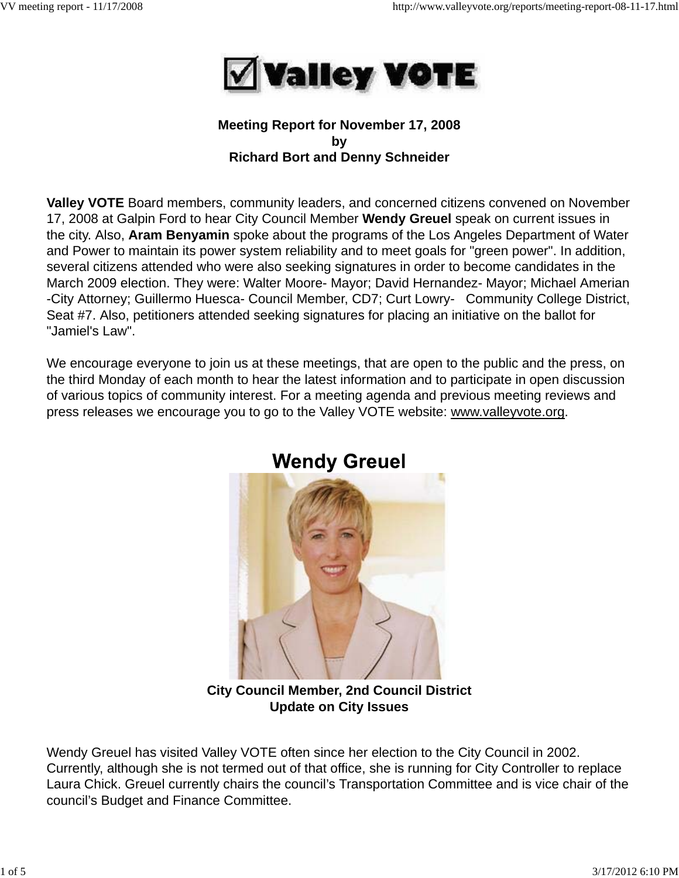

## **Meeting Report for November 17, 2008 by Richard Bort and Denny Schneider**

**Valley VOTE** Board members, community leaders, and concerned citizens convened on November 17, 2008 at Galpin Ford to hear City Council Member **Wendy Greuel** speak on current issues in the city. Also, **Aram Benyamin** spoke about the programs of the Los Angeles Department of Water and Power to maintain its power system reliability and to meet goals for "green power". In addition, several citizens attended who were also seeking signatures in order to become candidates in the March 2009 election. They were: Walter Moore- Mayor; David Hernandez- Mayor; Michael Amerian -City Attorney; Guillermo Huesca- Council Member, CD7; Curt Lowry- Community College District, Seat #7. Also, petitioners attended seeking signatures for placing an initiative on the ballot for "Jamiel's Law".

We encourage everyone to join us at these meetings, that are open to the public and the press, on the third Monday of each month to hear the latest information and to participate in open discussion of various topics of community interest. For a meeting agenda and previous meeting reviews and press releases we encourage you to go to the Valley VOTE website: www.valleyvote.org.



# **Wendy Greuel**

**City Council Member, 2nd Council District Update on City Issues**

Wendy Greuel has visited Valley VOTE often since her election to the City Council in 2002. Currently, although she is not termed out of that office, she is running for City Controller to replace Laura Chick. Greuel currently chairs the council's Transportation Committee and is vice chair of the council's Budget and Finance Committee.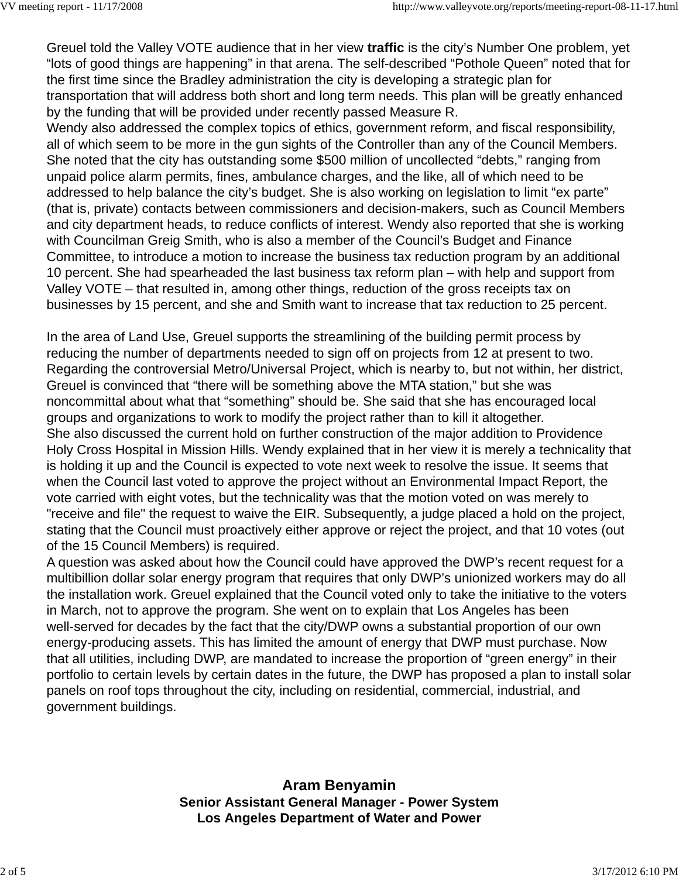Greuel told the Valley VOTE audience that in her view **traffic** is the city's Number One problem, yet "lots of good things are happening" in that arena. The self-described "Pothole Queen" noted that for the first time since the Bradley administration the city is developing a strategic plan for transportation that will address both short and long term needs. This plan will be greatly enhanced by the funding that will be provided under recently passed Measure R.

Wendy also addressed the complex topics of ethics, government reform, and fiscal responsibility, all of which seem to be more in the gun sights of the Controller than any of the Council Members. She noted that the city has outstanding some \$500 million of uncollected "debts," ranging from unpaid police alarm permits, fines, ambulance charges, and the like, all of which need to be addressed to help balance the city's budget. She is also working on legislation to limit "ex parte" (that is, private) contacts between commissioners and decision-makers, such as Council Members and city department heads, to reduce conflicts of interest. Wendy also reported that she is working with Councilman Greig Smith, who is also a member of the Council's Budget and Finance Committee, to introduce a motion to increase the business tax reduction program by an additional 10 percent. She had spearheaded the last business tax reform plan – with help and support from Valley VOTE – that resulted in, among other things, reduction of the gross receipts tax on businesses by 15 percent, and she and Smith want to increase that tax reduction to 25 percent.

In the area of Land Use, Greuel supports the streamlining of the building permit process by reducing the number of departments needed to sign off on projects from 12 at present to two. Regarding the controversial Metro/Universal Project, which is nearby to, but not within, her district, Greuel is convinced that "there will be something above the MTA station," but she was noncommittal about what that "something" should be. She said that she has encouraged local groups and organizations to work to modify the project rather than to kill it altogether. She also discussed the current hold on further construction of the major addition to Providence Holy Cross Hospital in Mission Hills. Wendy explained that in her view it is merely a technicality that is holding it up and the Council is expected to vote next week to resolve the issue. It seems that when the Council last voted to approve the project without an Environmental Impact Report, the vote carried with eight votes, but the technicality was that the motion voted on was merely to "receive and file" the request to waive the EIR. Subsequently, a judge placed a hold on the project, stating that the Council must proactively either approve or reject the project, and that 10 votes (out of the 15 Council Members) is required.

A question was asked about how the Council could have approved the DWP's recent request for a multibillion dollar solar energy program that requires that only DWP's unionized workers may do all the installation work. Greuel explained that the Council voted only to take the initiative to the voters in March, not to approve the program. She went on to explain that Los Angeles has been well-served for decades by the fact that the city/DWP owns a substantial proportion of our own energy-producing assets. This has limited the amount of energy that DWP must purchase. Now that all utilities, including DWP, are mandated to increase the proportion of "green energy" in their portfolio to certain levels by certain dates in the future, the DWP has proposed a plan to install solar panels on roof tops throughout the city, including on residential, commercial, industrial, and government buildings.

> **Aram Benyamin Senior Assistant General Manager - Power System Los Angeles Department of Water and Power**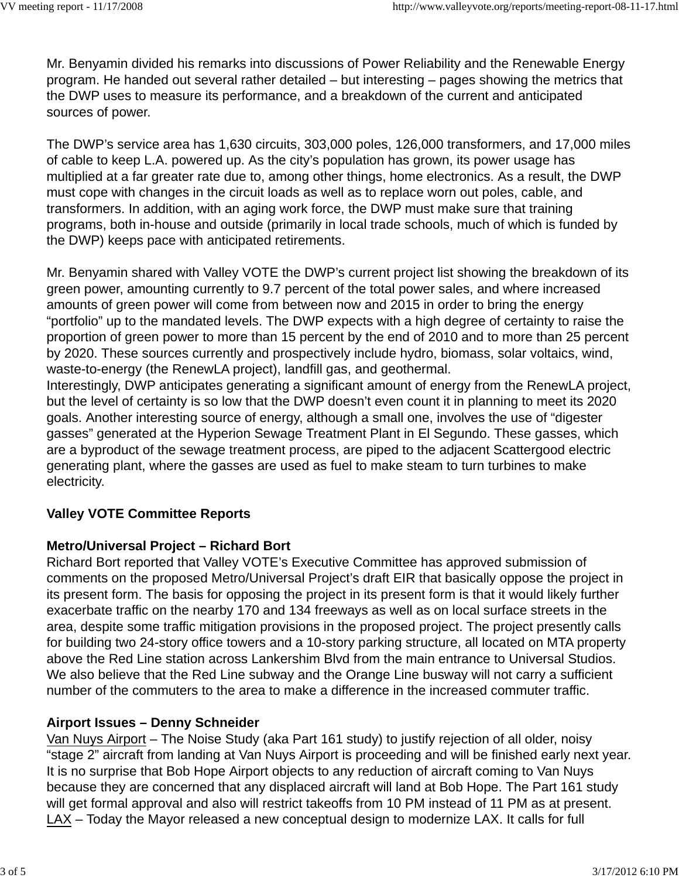Mr. Benyamin divided his remarks into discussions of Power Reliability and the Renewable Energy program. He handed out several rather detailed – but interesting – pages showing the metrics that the DWP uses to measure its performance, and a breakdown of the current and anticipated sources of power.

The DWP's service area has 1,630 circuits, 303,000 poles, 126,000 transformers, and 17,000 miles of cable to keep L.A. powered up. As the city's population has grown, its power usage has multiplied at a far greater rate due to, among other things, home electronics. As a result, the DWP must cope with changes in the circuit loads as well as to replace worn out poles, cable, and transformers. In addition, with an aging work force, the DWP must make sure that training programs, both in-house and outside (primarily in local trade schools, much of which is funded by the DWP) keeps pace with anticipated retirements.

Mr. Benyamin shared with Valley VOTE the DWP's current project list showing the breakdown of its green power, amounting currently to 9.7 percent of the total power sales, and where increased amounts of green power will come from between now and 2015 in order to bring the energy "portfolio" up to the mandated levels. The DWP expects with a high degree of certainty to raise the proportion of green power to more than 15 percent by the end of 2010 and to more than 25 percent by 2020. These sources currently and prospectively include hydro, biomass, solar voltaics, wind, waste-to-energy (the RenewLA project), landfill gas, and geothermal.

Interestingly, DWP anticipates generating a significant amount of energy from the RenewLA project, but the level of certainty is so low that the DWP doesn't even count it in planning to meet its 2020 goals. Another interesting source of energy, although a small one, involves the use of "digester gasses" generated at the Hyperion Sewage Treatment Plant in El Segundo. These gasses, which are a byproduct of the sewage treatment process, are piped to the adjacent Scattergood electric generating plant, where the gasses are used as fuel to make steam to turn turbines to make electricity.

## **Valley VOTE Committee Reports**

## **Metro/Universal Project – Richard Bort**

Richard Bort reported that Valley VOTE's Executive Committee has approved submission of comments on the proposed Metro/Universal Project's draft EIR that basically oppose the project in its present form. The basis for opposing the project in its present form is that it would likely further exacerbate traffic on the nearby 170 and 134 freeways as well as on local surface streets in the area, despite some traffic mitigation provisions in the proposed project. The project presently calls for building two 24-story office towers and a 10-story parking structure, all located on MTA property above the Red Line station across Lankershim Blvd from the main entrance to Universal Studios. We also believe that the Red Line subway and the Orange Line busway will not carry a sufficient number of the commuters to the area to make a difference in the increased commuter traffic.

## **Airport Issues – Denny Schneider**

Van Nuys Airport – The Noise Study (aka Part 161 study) to justify rejection of all older, noisy "stage 2" aircraft from landing at Van Nuys Airport is proceeding and will be finished early next year. It is no surprise that Bob Hope Airport objects to any reduction of aircraft coming to Van Nuys because they are concerned that any displaced aircraft will land at Bob Hope. The Part 161 study will get formal approval and also will restrict takeoffs from 10 PM instead of 11 PM as at present. LAX – Today the Mayor released a new conceptual design to modernize LAX. It calls for full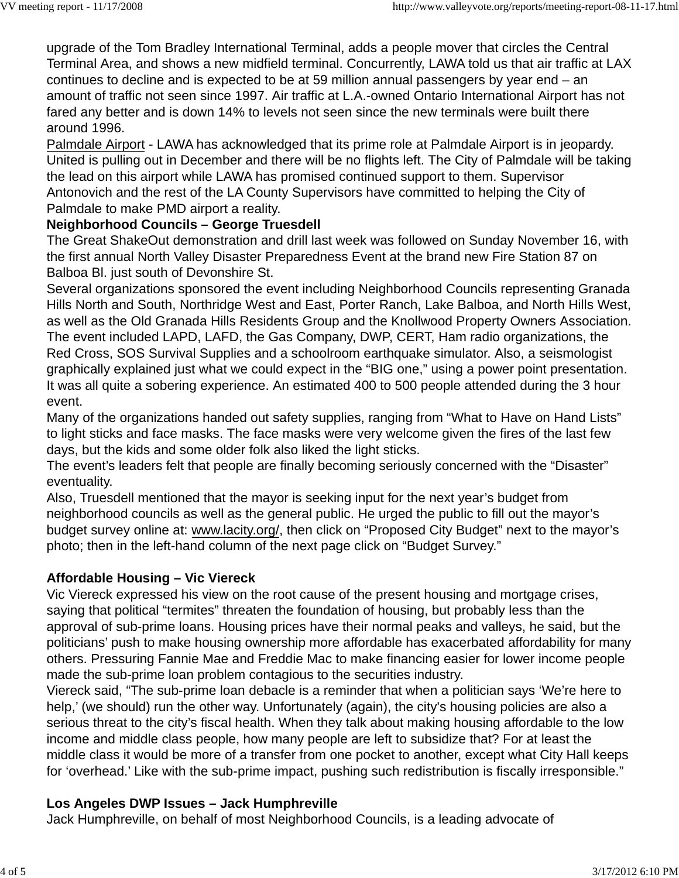upgrade of the Tom Bradley International Terminal, adds a people mover that circles the Central Terminal Area, and shows a new midfield terminal. Concurrently, LAWA told us that air traffic at LAX continues to decline and is expected to be at 59 million annual passengers by year end – an amount of traffic not seen since 1997. Air traffic at L.A.-owned Ontario International Airport has not fared any better and is down 14% to levels not seen since the new terminals were built there around 1996.

Palmdale Airport - LAWA has acknowledged that its prime role at Palmdale Airport is in jeopardy. United is pulling out in December and there will be no flights left. The City of Palmdale will be taking the lead on this airport while LAWA has promised continued support to them. Supervisor Antonovich and the rest of the LA County Supervisors have committed to helping the City of Palmdale to make PMD airport a reality.

## **Neighborhood Councils – George Truesdell**

The Great ShakeOut demonstration and drill last week was followed on Sunday November 16, with the first annual North Valley Disaster Preparedness Event at the brand new Fire Station 87 on Balboa Bl. just south of Devonshire St.

Several organizations sponsored the event including Neighborhood Councils representing Granada Hills North and South, Northridge West and East, Porter Ranch, Lake Balboa, and North Hills West, as well as the Old Granada Hills Residents Group and the Knollwood Property Owners Association. The event included LAPD, LAFD, the Gas Company, DWP, CERT, Ham radio organizations, the Red Cross, SOS Survival Supplies and a schoolroom earthquake simulator. Also, a seismologist graphically explained just what we could expect in the "BIG one," using a power point presentation. It was all quite a sobering experience. An estimated 400 to 500 people attended during the 3 hour event.

Many of the organizations handed out safety supplies, ranging from "What to Have on Hand Lists" to light sticks and face masks. The face masks were very welcome given the fires of the last few days, but the kids and some older folk also liked the light sticks.

The event's leaders felt that people are finally becoming seriously concerned with the "Disaster" eventuality.

Also, Truesdell mentioned that the mayor is seeking input for the next year's budget from neighborhood councils as well as the general public. He urged the public to fill out the mayor's budget survey online at: www.lacity.org/, then click on "Proposed City Budget" next to the mayor's photo; then in the left-hand column of the next page click on "Budget Survey."

## **Affordable Housing – Vic Viereck**

Vic Viereck expressed his view on the root cause of the present housing and mortgage crises, saying that political "termites" threaten the foundation of housing, but probably less than the approval of sub-prime loans. Housing prices have their normal peaks and valleys, he said, but the politicians' push to make housing ownership more affordable has exacerbated affordability for many others. Pressuring Fannie Mae and Freddie Mac to make financing easier for lower income people made the sub-prime loan problem contagious to the securities industry.

Viereck said, "The sub-prime loan debacle is a reminder that when a politician says 'We're here to help,' (we should) run the other way. Unfortunately (again), the city's housing policies are also a serious threat to the city's fiscal health. When they talk about making housing affordable to the low income and middle class people, how many people are left to subsidize that? For at least the middle class it would be more of a transfer from one pocket to another, except what City Hall keeps for 'overhead.' Like with the sub-prime impact, pushing such redistribution is fiscally irresponsible."

## **Los Angeles DWP Issues – Jack Humphreville**

Jack Humphreville, on behalf of most Neighborhood Councils, is a leading advocate of